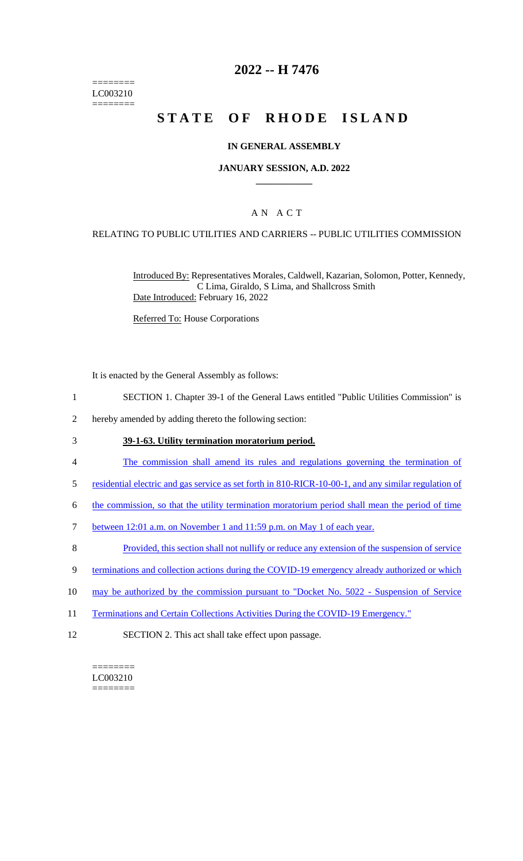======== LC003210 ========

# **2022 -- H 7476**

# **STATE OF RHODE ISLAND**

### **IN GENERAL ASSEMBLY**

### **JANUARY SESSION, A.D. 2022 \_\_\_\_\_\_\_\_\_\_\_\_**

# A N A C T

### RELATING TO PUBLIC UTILITIES AND CARRIERS -- PUBLIC UTILITIES COMMISSION

Introduced By: Representatives Morales, Caldwell, Kazarian, Solomon, Potter, Kennedy, C Lima, Giraldo, S Lima, and Shallcross Smith Date Introduced: February 16, 2022

Referred To: House Corporations

It is enacted by the General Assembly as follows:

- 1 SECTION 1. Chapter 39-1 of the General Laws entitled "Public Utilities Commission" is
- 2 hereby amended by adding thereto the following section:

#### 3 **39-1-63. Utility termination moratorium period.**

- 4 The commission shall amend its rules and regulations governing the termination of
- 5 residential electric and gas service as set forth in 810-RICR-10-00-1, and any similar regulation of
- 6 the commission, so that the utility termination moratorium period shall mean the period of time
- 7 between 12:01 a.m. on November 1 and 11:59 p.m. on May 1 of each year.
- 8 Provided, this section shall not nullify or reduce any extension of the suspension of service
- 9 terminations and collection actions during the COVID-19 emergency already authorized or which
- 10 may be authorized by the commission pursuant to "Docket No. 5022 Suspension of Service
- 11 Terminations and Certain Collections Activities During the COVID-19 Emergency."
- 12 SECTION 2. This act shall take effect upon passage.

 $=$ LC003210 ========